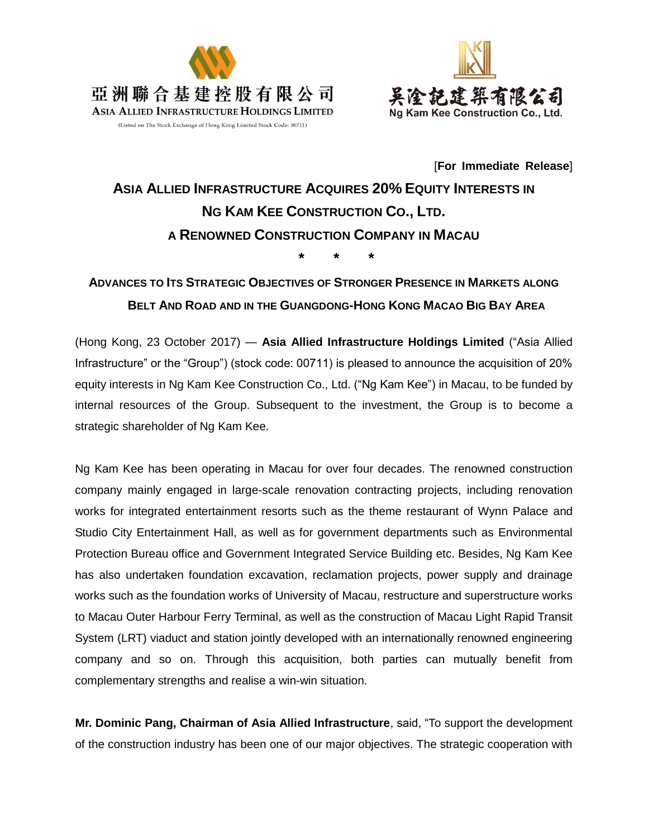



[**For Immediate Release**]

# **ASIA ALLIED INFRASTRUCTURE ACQUIRES 20% EQUITY INTERESTS IN NG KAM KEE CONSTRUCTION CO., LTD. A RENOWNED CONSTRUCTION COMPANY IN MACAU**

**\* \* \***

# **ADVANCES TO ITS STRATEGIC OBJECTIVES OF STRONGER PRESENCE IN MARKETS ALONG BELT AND ROAD AND IN THE GUANGDONG-HONG KONG MACAO BIG BAY AREA**

(Hong Kong, 23 October 2017) — **Asia Allied Infrastructure Holdings Limited** ("Asia Allied Infrastructure" or the "Group") (stock code: 00711) is pleased to announce the acquisition of 20% equity interests in Ng Kam Kee Construction Co., Ltd. ("Ng Kam Kee") in Macau, to be funded by internal resources of the Group. Subsequent to the investment, the Group is to become a strategic shareholder of Ng Kam Kee.

Ng Kam Kee has been operating in Macau for over four decades. The renowned construction company mainly engaged in large-scale renovation contracting projects, including renovation works for integrated entertainment resorts such as the theme restaurant of Wynn Palace and Studio City Entertainment Hall, as well as for government departments such as Environmental Protection Bureau office and Government Integrated Service Building etc. Besides, Ng Kam Kee has also undertaken foundation excavation, reclamation projects, power supply and drainage works such as the foundation works of University of Macau, restructure and superstructure works to Macau Outer Harbour Ferry Terminal, as well as the construction of Macau Light Rapid Transit System (LRT) viaduct and station jointly developed with an internationally renowned engineering company and so on. Through this acquisition, both parties can mutually benefit from complementary strengths and realise a win-win situation.

**Mr. Dominic Pang, Chairman of Asia Allied Infrastructure**, said, "To support the development of the construction industry has been one of our major objectives. The strategic cooperation with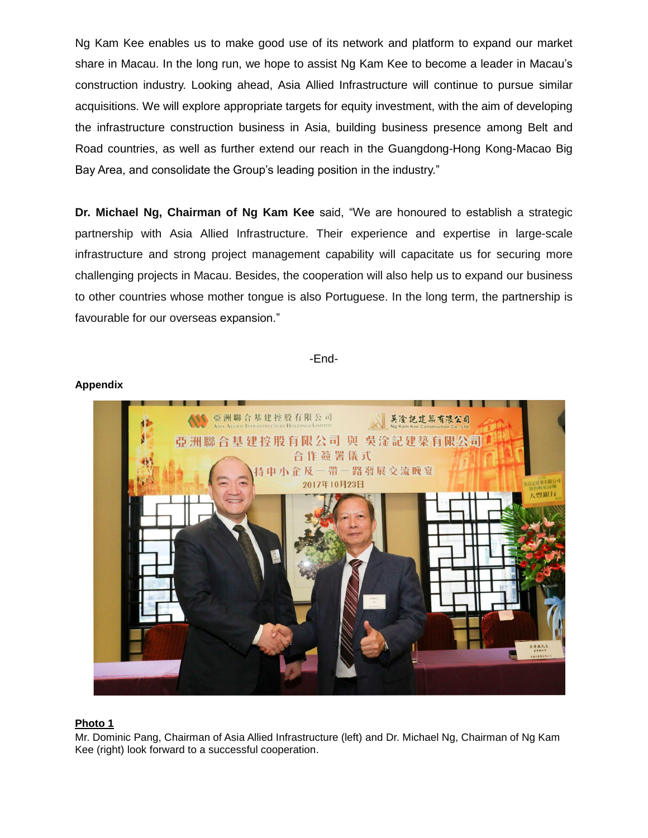Ng Kam Kee enables us to make good use of its network and platform to expand our market share in Macau. In the long run, we hope to assist Ng Kam Kee to become a leader in Macau's construction industry. Looking ahead, Asia Allied Infrastructure will continue to pursue similar acquisitions. We will explore appropriate targets for equity investment, with the aim of developing the infrastructure construction business in Asia, building business presence among Belt and Road countries, as well as further extend our reach in the Guangdong-Hong Kong-Macao Big Bay Area, and consolidate the Group's leading position in the industry."

**Dr. Michael Ng, Chairman of Ng Kam Kee** said, "We are honoured to establish a strategic partnership with Asia Allied Infrastructure. Their experience and expertise in large-scale infrastructure and strong project management capability will capacitate us for securing more challenging projects in Macau. Besides, the cooperation will also help us to expand our business to other countries whose mother tongue is also Portuguese. In the long term, the partnership is favourable for our overseas expansion."

-End-



# **Appendix**

#### **Photo 1**

Mr. Dominic Pang, Chairman of Asia Allied Infrastructure (left) and Dr. Michael Ng, Chairman of Ng Kam Kee (right) look forward to a successful cooperation.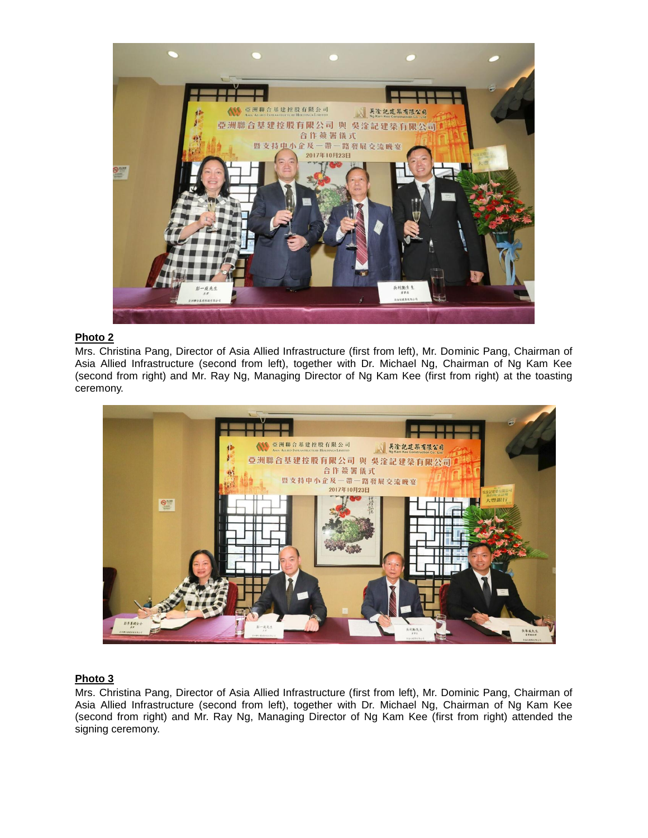

# **Photo 2**

Mrs. Christina Pang, Director of Asia Allied Infrastructure (first from left), Mr. Dominic Pang, Chairman of Asia Allied Infrastructure (second from left), together with Dr. Michael Ng, Chairman of Ng Kam Kee (second from right) and Mr. Ray Ng, Managing Director of Ng Kam Kee (first from right) at the toasting ceremony.



# **Photo 3**

Mrs. Christina Pang, Director of Asia Allied Infrastructure (first from left), Mr. Dominic Pang, Chairman of Asia Allied Infrastructure (second from left), together with Dr. Michael Ng, Chairman of Ng Kam Kee (second from right) and Mr. Ray Ng, Managing Director of Ng Kam Kee (first from right) attended the signing ceremony.